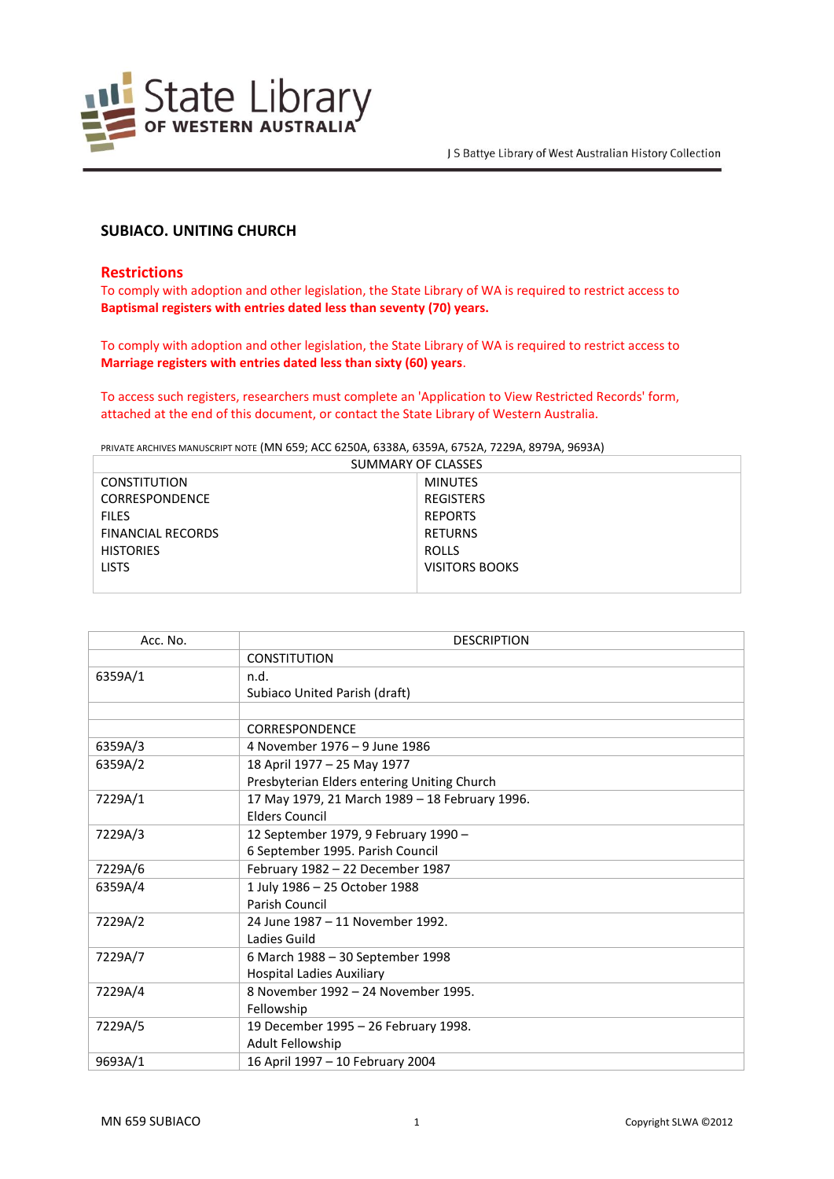

# **SUBIACO. UNITING CHURCH**

### **Restrictions**

To comply with adoption and other legislation, the State Library of WA is required to restrict access to **Baptismal registers with entries dated less than seventy (70) years.**

To comply with adoption and other legislation, the State Library of WA is required to restrict access to **Marriage registers with entries dated less than sixty (60) years**.

To access such registers, researchers must complete an 'Application to View Restricted Records' form, attached at the end of this document, or contact the State Library of Western Australia.

PRIVATE ARCHIVES MANUSCRIPT NOTE (MN 659; ACC 6250A, 6338A, 6359A, 6752A, 7229A, 8979A, 9693A)

| SUMMARY OF CLASSES       |                  |  |
|--------------------------|------------------|--|
| <b>CONSTITUTION</b>      | <b>MINUTES</b>   |  |
| <b>CORRESPONDENCE</b>    | <b>REGISTERS</b> |  |
| <b>FILES</b>             | <b>REPORTS</b>   |  |
| <b>FINANCIAL RECORDS</b> | <b>RETURNS</b>   |  |
| <b>HISTORIES</b>         | ROLLS            |  |
| <b>LISTS</b>             | VISITORS BOOKS   |  |
|                          |                  |  |

| Acc. No. | <b>DESCRIPTION</b>                             |
|----------|------------------------------------------------|
|          | <b>CONSTITUTION</b>                            |
| 6359A/1  | n.d.                                           |
|          | Subiaco United Parish (draft)                  |
|          |                                                |
|          | <b>CORRESPONDENCE</b>                          |
| 6359A/3  | 4 November 1976 - 9 June 1986                  |
| 6359A/2  | 18 April 1977 - 25 May 1977                    |
|          | Presbyterian Elders entering Uniting Church    |
| 7229A/1  | 17 May 1979, 21 March 1989 - 18 February 1996. |
|          | <b>Flders Council</b>                          |
| 7229A/3  | 12 September 1979, 9 February 1990 -           |
|          | 6 September 1995. Parish Council               |
| 7229A/6  | February 1982 - 22 December 1987               |
| 6359A/4  | 1 July 1986 - 25 October 1988                  |
|          | Parish Council                                 |
| 7229A/2  | 24 June 1987 - 11 November 1992.               |
|          | Ladies Guild                                   |
| 7229A/7  | 6 March 1988 - 30 September 1998               |
|          | <b>Hospital Ladies Auxiliary</b>               |
| 7229A/4  | 8 November 1992 - 24 November 1995.            |
|          | Fellowship                                     |
| 7229A/5  | 19 December 1995 - 26 February 1998.           |
|          | Adult Fellowship                               |
| 9693A/1  | 16 April 1997 - 10 February 2004               |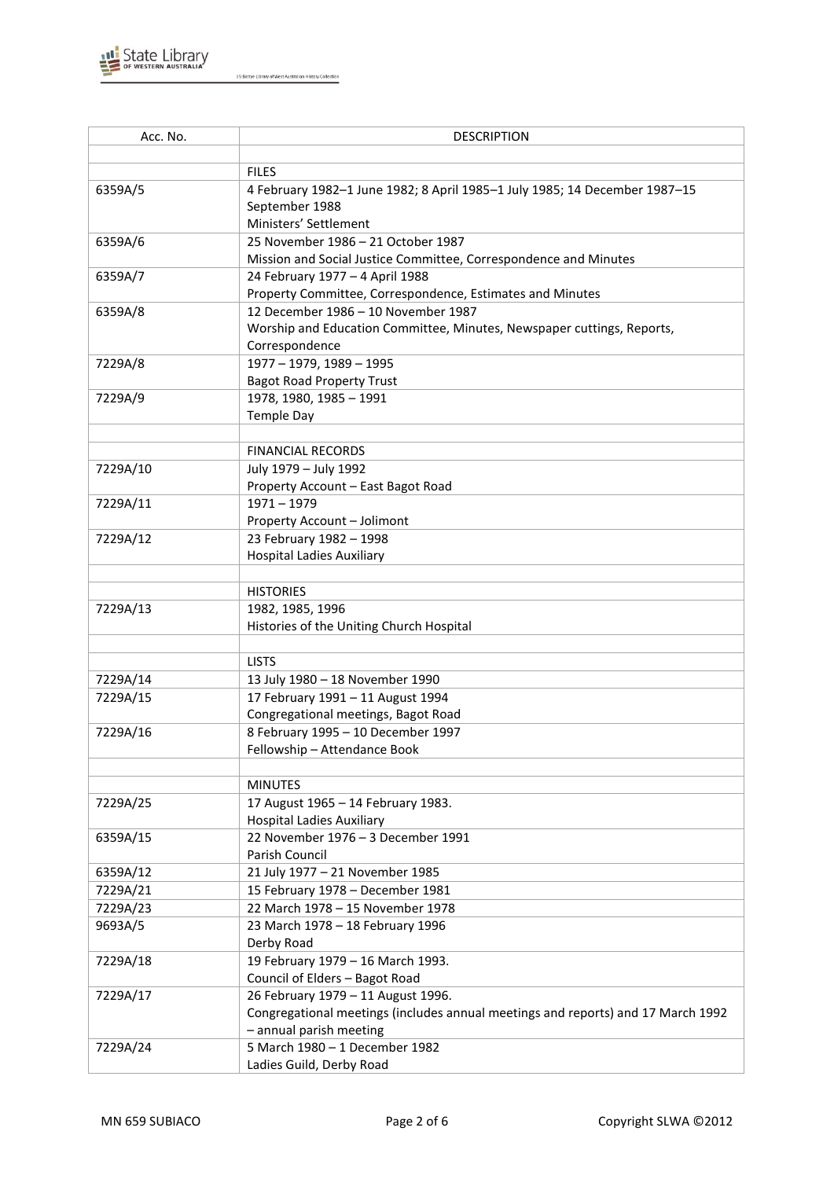

| Acc. No. | <b>DESCRIPTION</b>                                                               |
|----------|----------------------------------------------------------------------------------|
|          |                                                                                  |
|          | <b>FILES</b>                                                                     |
| 6359A/5  | 4 February 1982-1 June 1982; 8 April 1985-1 July 1985; 14 December 1987-15       |
|          | September 1988                                                                   |
|          | Ministers' Settlement                                                            |
| 6359A/6  | 25 November 1986 - 21 October 1987                                               |
|          | Mission and Social Justice Committee, Correspondence and Minutes                 |
| 6359A/7  | 24 February 1977 - 4 April 1988                                                  |
|          | Property Committee, Correspondence, Estimates and Minutes                        |
| 6359A/8  | 12 December 1986 - 10 November 1987                                              |
|          | Worship and Education Committee, Minutes, Newspaper cuttings, Reports,           |
|          | Correspondence                                                                   |
| 7229A/8  | 1977 - 1979, 1989 - 1995                                                         |
|          | <b>Bagot Road Property Trust</b>                                                 |
| 7229A/9  | 1978, 1980, 1985 - 1991                                                          |
|          | <b>Temple Day</b>                                                                |
|          |                                                                                  |
|          | <b>FINANCIAL RECORDS</b>                                                         |
| 7229A/10 | July 1979 - July 1992                                                            |
|          | Property Account - East Bagot Road                                               |
| 7229A/11 | $1971 - 1979$                                                                    |
|          | Property Account - Jolimont                                                      |
| 7229A/12 | 23 February 1982 - 1998                                                          |
|          | <b>Hospital Ladies Auxiliary</b>                                                 |
|          |                                                                                  |
|          | <b>HISTORIES</b>                                                                 |
| 7229A/13 | 1982, 1985, 1996                                                                 |
|          | Histories of the Uniting Church Hospital                                         |
|          |                                                                                  |
|          | <b>LISTS</b>                                                                     |
| 7229A/14 | 13 July 1980 - 18 November 1990                                                  |
| 7229A/15 | 17 February 1991 - 11 August 1994                                                |
|          | Congregational meetings, Bagot Road                                              |
| 7229A/16 | 8 February 1995 - 10 December 1997                                               |
|          | Fellowship - Attendance Book                                                     |
|          | <b>MINUTES</b>                                                                   |
|          |                                                                                  |
| 7229A/25 | 17 August 1965 - 14 February 1983.<br><b>Hospital Ladies Auxiliary</b>           |
| 6359A/15 | 22 November 1976 - 3 December 1991                                               |
|          | Parish Council                                                                   |
| 6359A/12 | 21 July 1977 - 21 November 1985                                                  |
| 7229A/21 | 15 February 1978 - December 1981                                                 |
| 7229A/23 | 22 March 1978 - 15 November 1978                                                 |
| 9693A/5  | 23 March 1978 - 18 February 1996                                                 |
|          | Derby Road                                                                       |
| 7229A/18 | 19 February 1979 - 16 March 1993.                                                |
|          | Council of Elders - Bagot Road                                                   |
| 7229A/17 | 26 February 1979 - 11 August 1996.                                               |
|          | Congregational meetings (includes annual meetings and reports) and 17 March 1992 |
|          | - annual parish meeting                                                          |
| 7229A/24 | 5 March 1980 - 1 December 1982                                                   |
|          | Ladies Guild, Derby Road                                                         |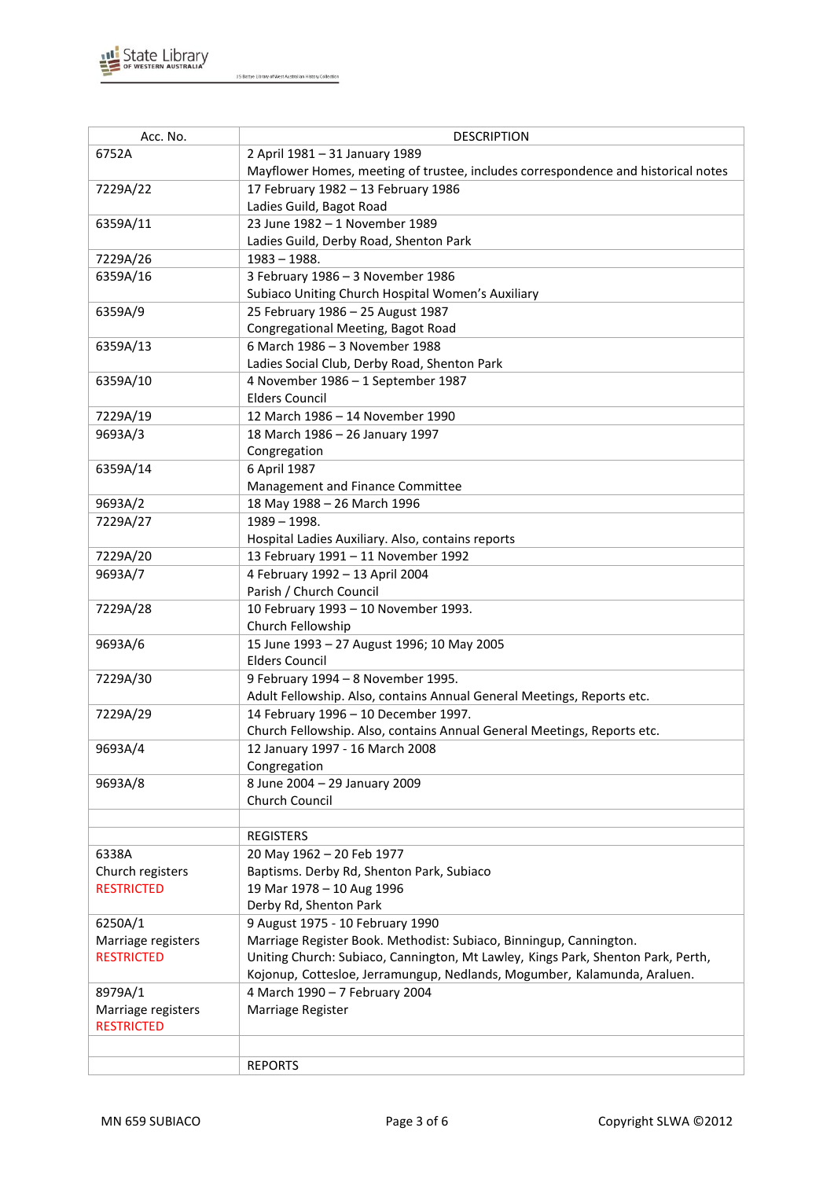

| Acc. No.           | <b>DESCRIPTION</b>                                                                |
|--------------------|-----------------------------------------------------------------------------------|
| 6752A              |                                                                                   |
|                    | 2 April 1981 - 31 January 1989                                                    |
|                    | Mayflower Homes, meeting of trustee, includes correspondence and historical notes |
| 7229A/22           | 17 February 1982 - 13 February 1986                                               |
|                    | Ladies Guild, Bagot Road                                                          |
| 6359A/11           | 23 June 1982 - 1 November 1989                                                    |
|                    | Ladies Guild, Derby Road, Shenton Park                                            |
| 7229A/26           | $1983 - 1988.$                                                                    |
| 6359A/16           | 3 February 1986 - 3 November 1986                                                 |
|                    | Subiaco Uniting Church Hospital Women's Auxiliary                                 |
| 6359A/9            | 25 February 1986 - 25 August 1987                                                 |
|                    | Congregational Meeting, Bagot Road                                                |
| 6359A/13           | 6 March 1986 - 3 November 1988                                                    |
|                    | Ladies Social Club, Derby Road, Shenton Park                                      |
| 6359A/10           | 4 November 1986 - 1 September 1987                                                |
|                    | <b>Elders Council</b>                                                             |
| 7229A/19           | 12 March 1986 - 14 November 1990                                                  |
| 9693A/3            | 18 March 1986 - 26 January 1997                                                   |
|                    | Congregation                                                                      |
| 6359A/14           | 6 April 1987                                                                      |
|                    | Management and Finance Committee                                                  |
| 9693A/2            | 18 May 1988 - 26 March 1996                                                       |
| 7229A/27           | $1989 - 1998.$                                                                    |
|                    | Hospital Ladies Auxiliary. Also, contains reports                                 |
| 7229A/20           | 13 February 1991 - 11 November 1992                                               |
| 9693A/7            | 4 February 1992 - 13 April 2004                                                   |
|                    | Parish / Church Council                                                           |
| 7229A/28           | 10 February 1993 - 10 November 1993.                                              |
|                    | Church Fellowship                                                                 |
| 9693A/6            | 15 June 1993 - 27 August 1996; 10 May 2005                                        |
|                    | <b>Elders Council</b>                                                             |
|                    |                                                                                   |
| 7229A/30           | 9 February 1994 - 8 November 1995.                                                |
|                    | Adult Fellowship. Also, contains Annual General Meetings, Reports etc.            |
| 7229A/29           | 14 February 1996 - 10 December 1997.                                              |
|                    | Church Fellowship. Also, contains Annual General Meetings, Reports etc.           |
| 9693A/4            | 12 January 1997 - 16 March 2008                                                   |
|                    | Congregation                                                                      |
| 9693A/8            | 8 June 2004 - 29 January 2009                                                     |
|                    | Church Council                                                                    |
|                    |                                                                                   |
|                    | <b>REGISTERS</b>                                                                  |
| 6338A              | 20 May 1962 - 20 Feb 1977                                                         |
| Church registers   | Baptisms. Derby Rd, Shenton Park, Subiaco                                         |
| <b>RESTRICTED</b>  | 19 Mar 1978 - 10 Aug 1996                                                         |
|                    | Derby Rd, Shenton Park                                                            |
| 6250A/1            | 9 August 1975 - 10 February 1990                                                  |
| Marriage registers | Marriage Register Book. Methodist: Subiaco, Binningup, Cannington.                |
| <b>RESTRICTED</b>  | Uniting Church: Subiaco, Cannington, Mt Lawley, Kings Park, Shenton Park, Perth,  |
|                    | Kojonup, Cottesloe, Jerramungup, Nedlands, Mogumber, Kalamunda, Araluen.          |
| 8979A/1            | 4 March 1990 - 7 February 2004                                                    |
| Marriage registers | Marriage Register                                                                 |
| <b>RESTRICTED</b>  |                                                                                   |
|                    |                                                                                   |
|                    | <b>REPORTS</b>                                                                    |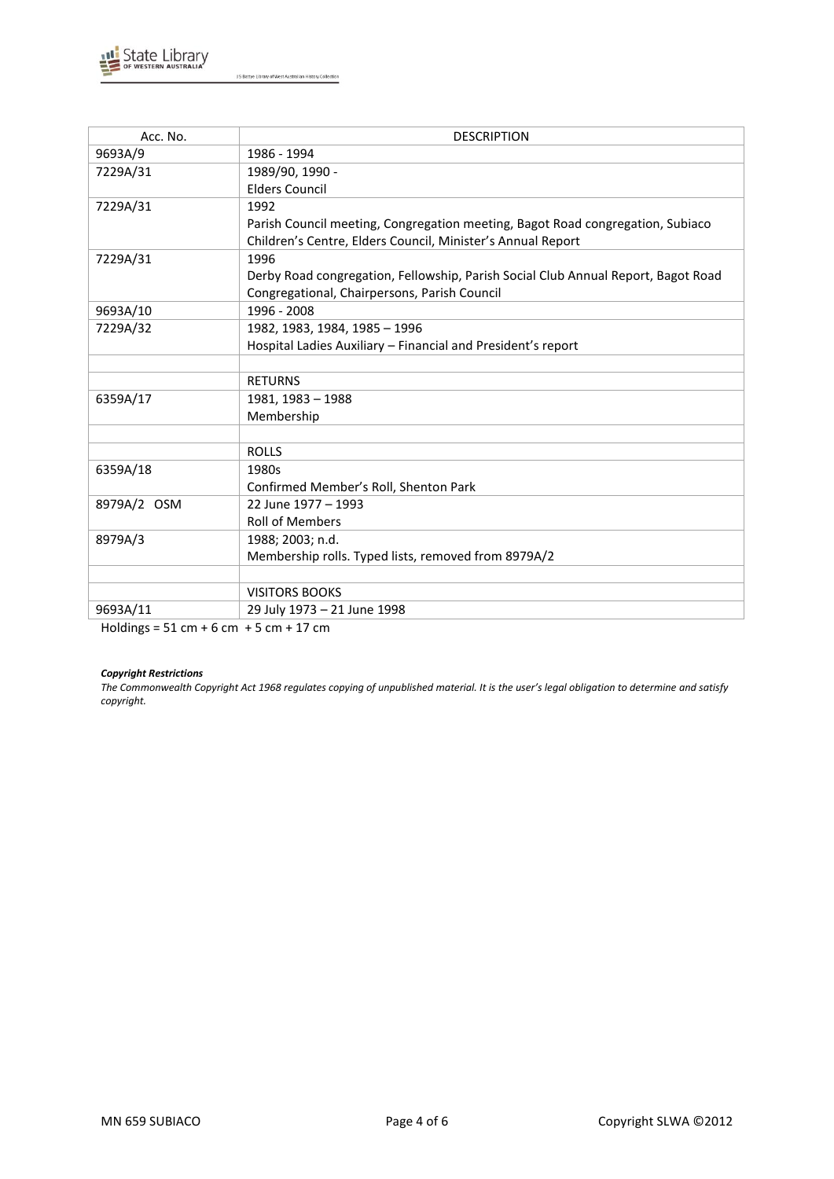

| Acc. No.      | <b>DESCRIPTION</b>                                                                |
|---------------|-----------------------------------------------------------------------------------|
| 9693A/9       | 1986 - 1994                                                                       |
| 7229A/31      | 1989/90, 1990 -                                                                   |
|               | <b>Elders Council</b>                                                             |
| 7229A/31      | 1992                                                                              |
|               | Parish Council meeting, Congregation meeting, Bagot Road congregation, Subiaco    |
|               | Children's Centre, Elders Council, Minister's Annual Report                       |
| 7229A/31      | 1996                                                                              |
|               | Derby Road congregation, Fellowship, Parish Social Club Annual Report, Bagot Road |
|               | Congregational, Chairpersons, Parish Council                                      |
| 9693A/10      | 1996 - 2008                                                                       |
| 7229A/32      | 1982, 1983, 1984, 1985 - 1996                                                     |
|               | Hospital Ladies Auxiliary - Financial and President's report                      |
|               |                                                                                   |
|               | <b>RETURNS</b>                                                                    |
| 6359A/17      | 1981, 1983 - 1988                                                                 |
|               | Membership                                                                        |
|               |                                                                                   |
|               | <b>ROLLS</b>                                                                      |
| 6359A/18      | 1980s                                                                             |
|               | Confirmed Member's Roll, Shenton Park                                             |
| 8979A/2 OSM   | 22 June 1977 - 1993                                                               |
|               | <b>Roll of Members</b>                                                            |
| 8979A/3       | 1988; 2003; n.d.                                                                  |
|               | Membership rolls. Typed lists, removed from 8979A/2                               |
|               |                                                                                   |
|               | <b>VISITORS BOOKS</b>                                                             |
| 9693A/11<br>. | 29 July 1973 - 21 June 1998                                                       |

Holdings = 51 cm + 6 cm + 5 cm + 17 cm

## *Copyright Restrictions*

*The Commonwealth Copyright Act 1968 regulates copying of unpublished material. It is the user's legal obligation to determine and satisfy copyright.*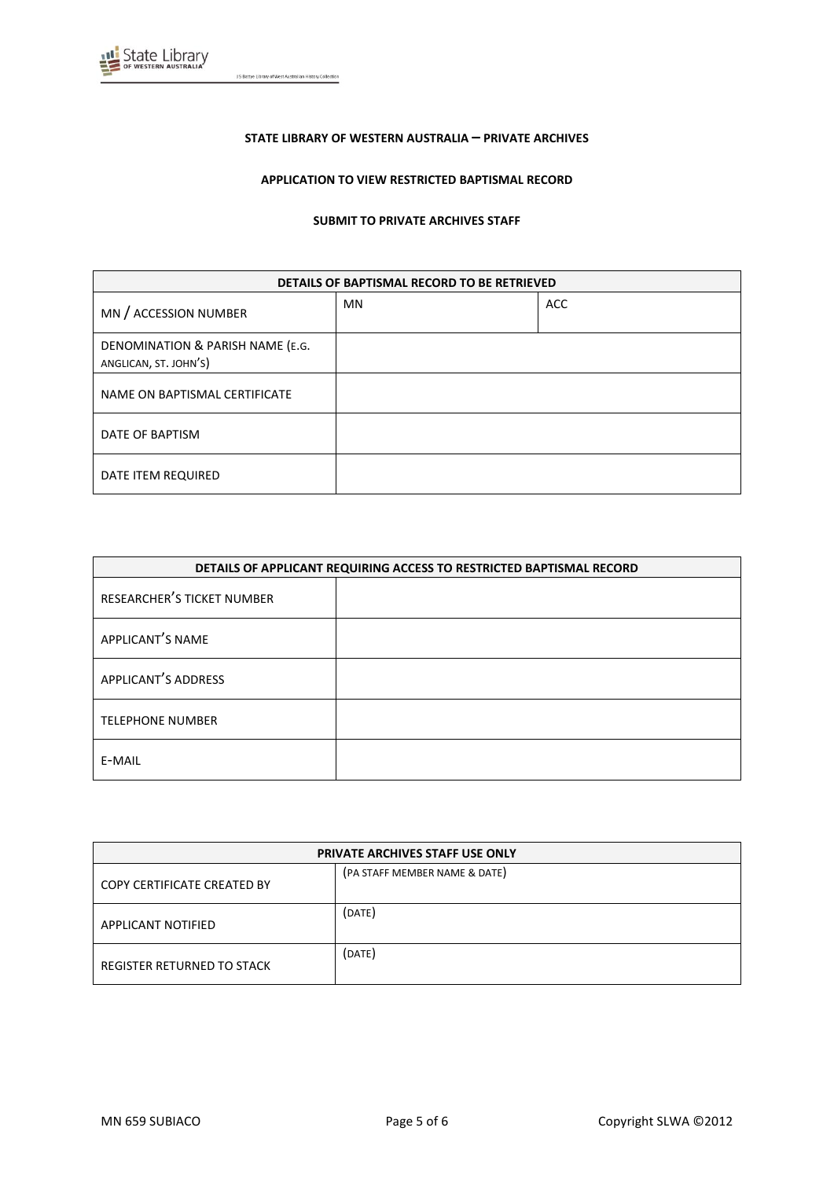

#### **STATE LIBRARY OF WESTERN AUSTRALIA – PRIVATE ARCHIVES**

### **APPLICATION TO VIEW RESTRICTED BAPTISMAL RECORD**

#### **SUBMIT TO PRIVATE ARCHIVES STAFF**

| DETAILS OF BAPTISMAL RECORD TO BE RETRIEVED               |           |            |
|-----------------------------------------------------------|-----------|------------|
| MN / ACCESSION NUMBER                                     | <b>MN</b> | <b>ACC</b> |
| DENOMINATION & PARISH NAME (E.G.<br>ANGLICAN, ST. JOHN'S) |           |            |
| NAME ON BAPTISMAL CERTIFICATE                             |           |            |
| DATE OF BAPTISM                                           |           |            |
| DATE ITEM REQUIRED                                        |           |            |

| DETAILS OF APPLICANT REQUIRING ACCESS TO RESTRICTED BAPTISMAL RECORD |  |
|----------------------------------------------------------------------|--|
| RESEARCHER'S TICKET NUMBER                                           |  |
| APPLICANT'S NAME                                                     |  |
| APPLICANT'S ADDRESS                                                  |  |
| <b>TELEPHONE NUMBER</b>                                              |  |
| E-MAIL                                                               |  |

| <b>PRIVATE ARCHIVES STAFF USE ONLY</b> |                               |  |
|----------------------------------------|-------------------------------|--|
| COPY CERTIFICATE CREATED BY            | (PA STAFF MEMBER NAME & DATE) |  |
| <b>APPLICANT NOTIFIED</b>              | (DATE)                        |  |
| REGISTER RETURNED TO STACK             | (DATE)                        |  |